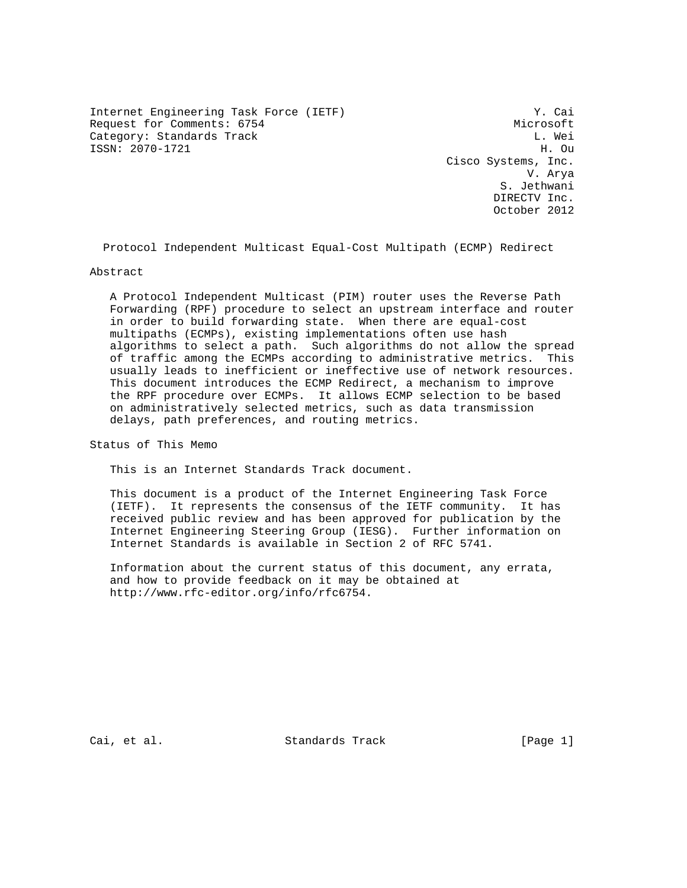Internet Engineering Task Force (IETF) Y. Cai Request for Comments: 6754 Microsoft Category: Standards Track Category: Standards Track ISSN: 2070-1721 H. Ou

 Cisco Systems, Inc. V. Arya S. Jethwani DIRECTV Inc. October 2012

Protocol Independent Multicast Equal-Cost Multipath (ECMP) Redirect

#### Abstract

 A Protocol Independent Multicast (PIM) router uses the Reverse Path Forwarding (RPF) procedure to select an upstream interface and router in order to build forwarding state. When there are equal-cost multipaths (ECMPs), existing implementations often use hash algorithms to select a path. Such algorithms do not allow the spread of traffic among the ECMPs according to administrative metrics. This usually leads to inefficient or ineffective use of network resources. This document introduces the ECMP Redirect, a mechanism to improve the RPF procedure over ECMPs. It allows ECMP selection to be based on administratively selected metrics, such as data transmission delays, path preferences, and routing metrics.

Status of This Memo

This is an Internet Standards Track document.

 This document is a product of the Internet Engineering Task Force (IETF). It represents the consensus of the IETF community. It has received public review and has been approved for publication by the Internet Engineering Steering Group (IESG). Further information on Internet Standards is available in Section 2 of RFC 5741.

 Information about the current status of this document, any errata, and how to provide feedback on it may be obtained at http://www.rfc-editor.org/info/rfc6754.

Cai, et al. Standards Track [Page 1]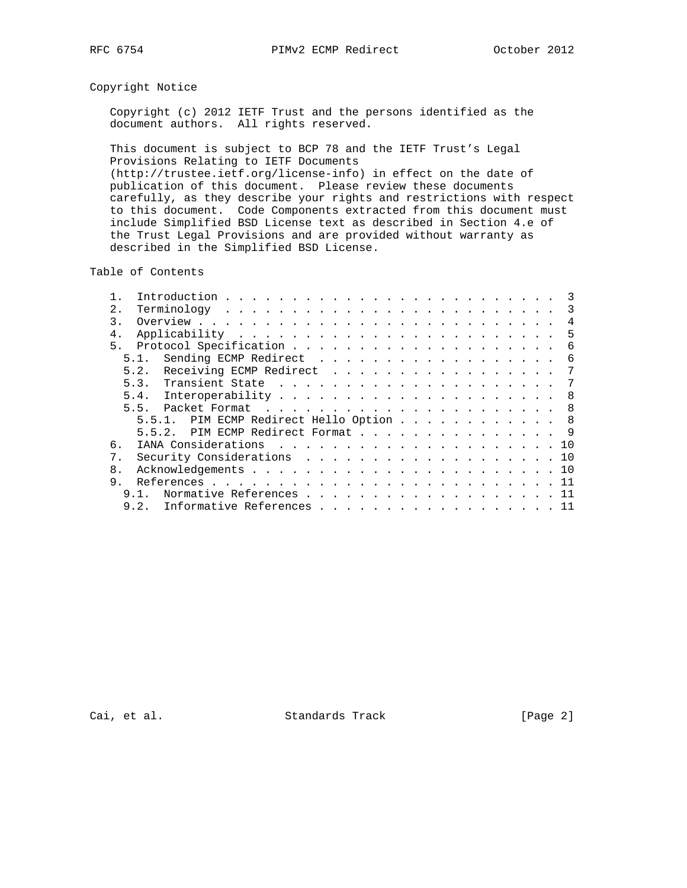# Copyright Notice

 Copyright (c) 2012 IETF Trust and the persons identified as the document authors. All rights reserved.

 This document is subject to BCP 78 and the IETF Trust's Legal Provisions Relating to IETF Documents (http://trustee.ietf.org/license-info) in effect on the date of publication of this document. Please review these documents carefully, as they describe your rights and restrictions with respect to this document. Code Components extracted from this document must include Simplified BSD License text as described in Section 4.e of the Trust Legal Provisions and are provided without warranty as described in the Simplified BSD License.

Table of Contents

|                |      |                                         |  |  |  |  |  |  |  |  |  |  |  | 3              |
|----------------|------|-----------------------------------------|--|--|--|--|--|--|--|--|--|--|--|----------------|
| 2.             |      |                                         |  |  |  |  |  |  |  |  |  |  |  | 3              |
| 3.             |      |                                         |  |  |  |  |  |  |  |  |  |  |  | $\overline{4}$ |
| 4.             |      |                                         |  |  |  |  |  |  |  |  |  |  |  | 5              |
| 5 <sub>1</sub> |      |                                         |  |  |  |  |  |  |  |  |  |  |  | 6              |
|                | 5.1. | Sending ECMP Redirect                   |  |  |  |  |  |  |  |  |  |  |  | 6              |
|                | 5.2. | Receiving ECMP Redirect                 |  |  |  |  |  |  |  |  |  |  |  | 7              |
|                |      |                                         |  |  |  |  |  |  |  |  |  |  |  | 7              |
|                |      |                                         |  |  |  |  |  |  |  |  |  |  |  | - 8            |
|                | 5.5. |                                         |  |  |  |  |  |  |  |  |  |  |  | 8 <sup>8</sup> |
|                |      | 5.5.1. PIM ECMP Redirect Hello Option 8 |  |  |  |  |  |  |  |  |  |  |  |                |
|                |      | 5.5.2. PIM ECMP Redirect Format 9       |  |  |  |  |  |  |  |  |  |  |  |                |
| б.             |      |                                         |  |  |  |  |  |  |  |  |  |  |  |                |
| 7.             |      | Security Considerations 10              |  |  |  |  |  |  |  |  |  |  |  |                |
| 8.             |      |                                         |  |  |  |  |  |  |  |  |  |  |  |                |
| 9.             |      |                                         |  |  |  |  |  |  |  |  |  |  |  |                |
|                | 9.1. | Normative References 11                 |  |  |  |  |  |  |  |  |  |  |  |                |
|                | 9.2. | Informative References 11               |  |  |  |  |  |  |  |  |  |  |  |                |

Cai, et al. Standards Track [Page 2]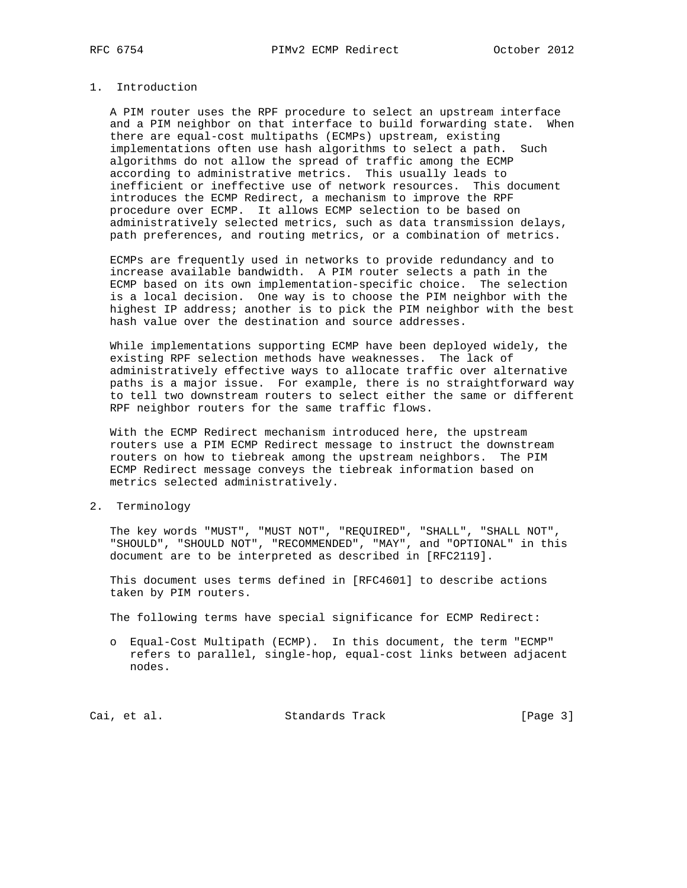# 1. Introduction

 A PIM router uses the RPF procedure to select an upstream interface and a PIM neighbor on that interface to build forwarding state. When there are equal-cost multipaths (ECMPs) upstream, existing implementations often use hash algorithms to select a path. Such algorithms do not allow the spread of traffic among the ECMP according to administrative metrics. This usually leads to inefficient or ineffective use of network resources. This document introduces the ECMP Redirect, a mechanism to improve the RPF procedure over ECMP. It allows ECMP selection to be based on administratively selected metrics, such as data transmission delays, path preferences, and routing metrics, or a combination of metrics.

 ECMPs are frequently used in networks to provide redundancy and to increase available bandwidth. A PIM router selects a path in the ECMP based on its own implementation-specific choice. The selection is a local decision. One way is to choose the PIM neighbor with the highest IP address; another is to pick the PIM neighbor with the best hash value over the destination and source addresses.

 While implementations supporting ECMP have been deployed widely, the existing RPF selection methods have weaknesses. The lack of administratively effective ways to allocate traffic over alternative paths is a major issue. For example, there is no straightforward way to tell two downstream routers to select either the same or different RPF neighbor routers for the same traffic flows.

 With the ECMP Redirect mechanism introduced here, the upstream routers use a PIM ECMP Redirect message to instruct the downstream routers on how to tiebreak among the upstream neighbors. The PIM ECMP Redirect message conveys the tiebreak information based on metrics selected administratively.

2. Terminology

 The key words "MUST", "MUST NOT", "REQUIRED", "SHALL", "SHALL NOT", "SHOULD", "SHOULD NOT", "RECOMMENDED", "MAY", and "OPTIONAL" in this document are to be interpreted as described in [RFC2119].

 This document uses terms defined in [RFC4601] to describe actions taken by PIM routers.

The following terms have special significance for ECMP Redirect:

 o Equal-Cost Multipath (ECMP). In this document, the term "ECMP" refers to parallel, single-hop, equal-cost links between adjacent nodes.

Cai, et al. Standards Track [Page 3]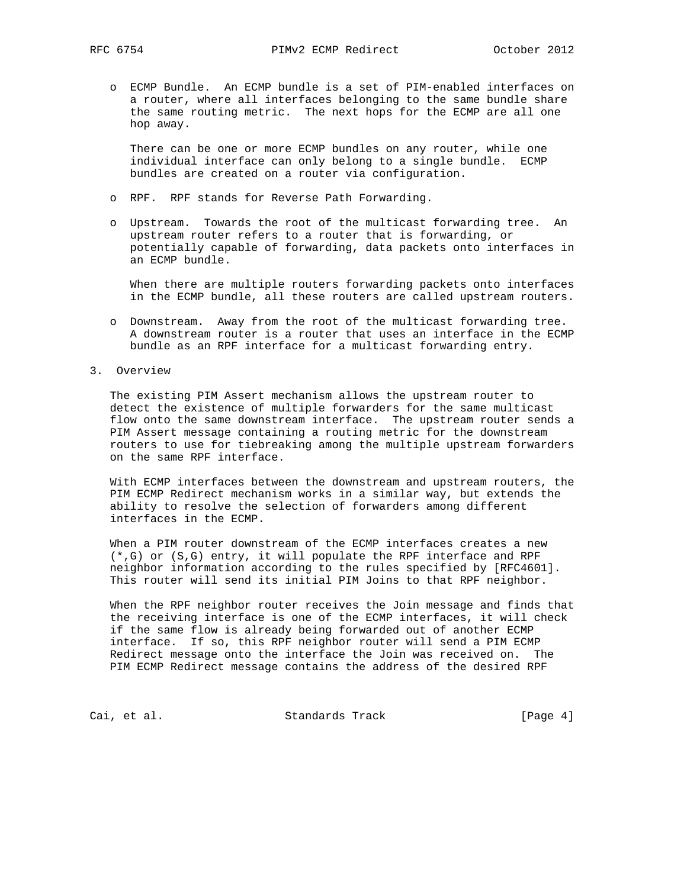o ECMP Bundle. An ECMP bundle is a set of PIM-enabled interfaces on a router, where all interfaces belonging to the same bundle share the same routing metric. The next hops for the ECMP are all one hop away.

 There can be one or more ECMP bundles on any router, while one individual interface can only belong to a single bundle. ECMP bundles are created on a router via configuration.

- o RPF. RPF stands for Reverse Path Forwarding.
- o Upstream. Towards the root of the multicast forwarding tree. An upstream router refers to a router that is forwarding, or potentially capable of forwarding, data packets onto interfaces in an ECMP bundle.

 When there are multiple routers forwarding packets onto interfaces in the ECMP bundle, all these routers are called upstream routers.

- o Downstream. Away from the root of the multicast forwarding tree. A downstream router is a router that uses an interface in the ECMP bundle as an RPF interface for a multicast forwarding entry.
- 3. Overview

 The existing PIM Assert mechanism allows the upstream router to detect the existence of multiple forwarders for the same multicast flow onto the same downstream interface. The upstream router sends a PIM Assert message containing a routing metric for the downstream routers to use for tiebreaking among the multiple upstream forwarders on the same RPF interface.

 With ECMP interfaces between the downstream and upstream routers, the PIM ECMP Redirect mechanism works in a similar way, but extends the ability to resolve the selection of forwarders among different interfaces in the ECMP.

 When a PIM router downstream of the ECMP interfaces creates a new (\*,G) or (S,G) entry, it will populate the RPF interface and RPF neighbor information according to the rules specified by [RFC4601]. This router will send its initial PIM Joins to that RPF neighbor.

 When the RPF neighbor router receives the Join message and finds that the receiving interface is one of the ECMP interfaces, it will check if the same flow is already being forwarded out of another ECMP interface. If so, this RPF neighbor router will send a PIM ECMP Redirect message onto the interface the Join was received on. The PIM ECMP Redirect message contains the address of the desired RPF

Cai, et al. Standards Track [Page 4]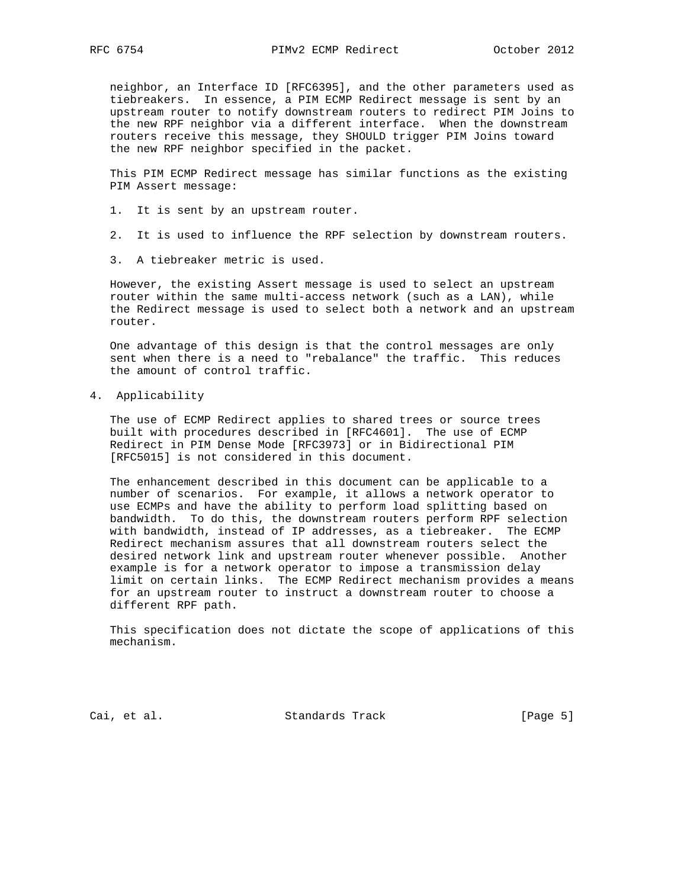neighbor, an Interface ID [RFC6395], and the other parameters used as tiebreakers. In essence, a PIM ECMP Redirect message is sent by an upstream router to notify downstream routers to redirect PIM Joins to the new RPF neighbor via a different interface. When the downstream routers receive this message, they SHOULD trigger PIM Joins toward the new RPF neighbor specified in the packet.

 This PIM ECMP Redirect message has similar functions as the existing PIM Assert message:

- 1. It is sent by an upstream router.
- 2. It is used to influence the RPF selection by downstream routers.
- 3. A tiebreaker metric is used.

 However, the existing Assert message is used to select an upstream router within the same multi-access network (such as a LAN), while the Redirect message is used to select both a network and an upstream router.

 One advantage of this design is that the control messages are only sent when there is a need to "rebalance" the traffic. This reduces the amount of control traffic.

4. Applicability

 The use of ECMP Redirect applies to shared trees or source trees built with procedures described in [RFC4601]. The use of ECMP Redirect in PIM Dense Mode [RFC3973] or in Bidirectional PIM [RFC5015] is not considered in this document.

 The enhancement described in this document can be applicable to a number of scenarios. For example, it allows a network operator to use ECMPs and have the ability to perform load splitting based on bandwidth. To do this, the downstream routers perform RPF selection with bandwidth, instead of IP addresses, as a tiebreaker. The ECMP Redirect mechanism assures that all downstream routers select the desired network link and upstream router whenever possible. Another example is for a network operator to impose a transmission delay limit on certain links. The ECMP Redirect mechanism provides a means for an upstream router to instruct a downstream router to choose a different RPF path.

 This specification does not dictate the scope of applications of this mechanism.

Cai, et al. Standards Track [Page 5]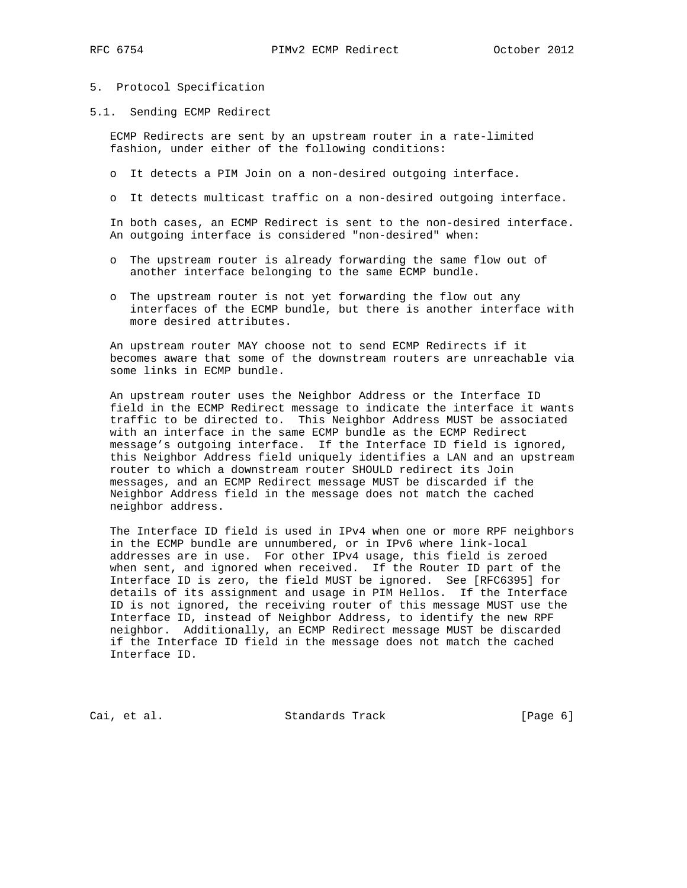### 5. Protocol Specification

5.1. Sending ECMP Redirect

 ECMP Redirects are sent by an upstream router in a rate-limited fashion, under either of the following conditions:

- o It detects a PIM Join on a non-desired outgoing interface.
- o It detects multicast traffic on a non-desired outgoing interface.

 In both cases, an ECMP Redirect is sent to the non-desired interface. An outgoing interface is considered "non-desired" when:

- o The upstream router is already forwarding the same flow out of another interface belonging to the same ECMP bundle.
- o The upstream router is not yet forwarding the flow out any interfaces of the ECMP bundle, but there is another interface with more desired attributes.

 An upstream router MAY choose not to send ECMP Redirects if it becomes aware that some of the downstream routers are unreachable via some links in ECMP bundle.

 An upstream router uses the Neighbor Address or the Interface ID field in the ECMP Redirect message to indicate the interface it wants traffic to be directed to. This Neighbor Address MUST be associated with an interface in the same ECMP bundle as the ECMP Redirect message's outgoing interface. If the Interface ID field is ignored, this Neighbor Address field uniquely identifies a LAN and an upstream router to which a downstream router SHOULD redirect its Join messages, and an ECMP Redirect message MUST be discarded if the Neighbor Address field in the message does not match the cached neighbor address.

 The Interface ID field is used in IPv4 when one or more RPF neighbors in the ECMP bundle are unnumbered, or in IPv6 where link-local addresses are in use. For other IPv4 usage, this field is zeroed when sent, and ignored when received. If the Router ID part of the Interface ID is zero, the field MUST be ignored. See [RFC6395] for details of its assignment and usage in PIM Hellos. If the Interface ID is not ignored, the receiving router of this message MUST use the Interface ID, instead of Neighbor Address, to identify the new RPF neighbor. Additionally, an ECMP Redirect message MUST be discarded if the Interface ID field in the message does not match the cached Interface ID.

Cai, et al. Standards Track [Page 6]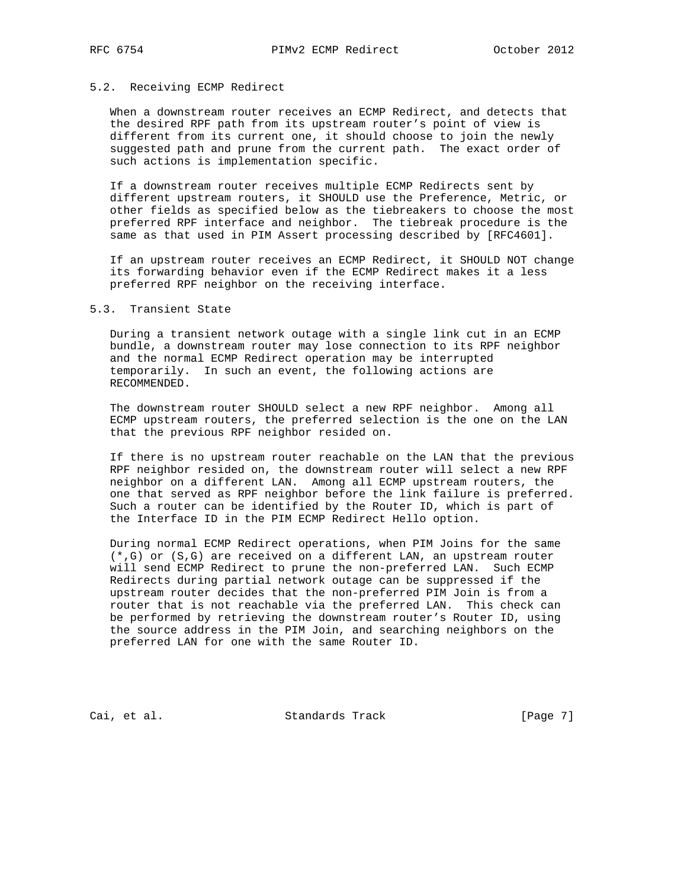## 5.2. Receiving ECMP Redirect

 When a downstream router receives an ECMP Redirect, and detects that the desired RPF path from its upstream router's point of view is different from its current one, it should choose to join the newly suggested path and prune from the current path. The exact order of such actions is implementation specific.

 If a downstream router receives multiple ECMP Redirects sent by different upstream routers, it SHOULD use the Preference, Metric, or other fields as specified below as the tiebreakers to choose the most preferred RPF interface and neighbor. The tiebreak procedure is the same as that used in PIM Assert processing described by [RFC4601].

 If an upstream router receives an ECMP Redirect, it SHOULD NOT change its forwarding behavior even if the ECMP Redirect makes it a less preferred RPF neighbor on the receiving interface.

## 5.3. Transient State

 During a transient network outage with a single link cut in an ECMP bundle, a downstream router may lose connection to its RPF neighbor and the normal ECMP Redirect operation may be interrupted temporarily. In such an event, the following actions are RECOMMENDED.

 The downstream router SHOULD select a new RPF neighbor. Among all ECMP upstream routers, the preferred selection is the one on the LAN that the previous RPF neighbor resided on.

 If there is no upstream router reachable on the LAN that the previous RPF neighbor resided on, the downstream router will select a new RPF neighbor on a different LAN. Among all ECMP upstream routers, the one that served as RPF neighbor before the link failure is preferred. Such a router can be identified by the Router ID, which is part of the Interface ID in the PIM ECMP Redirect Hello option.

 During normal ECMP Redirect operations, when PIM Joins for the same (\*,G) or (S,G) are received on a different LAN, an upstream router will send ECMP Redirect to prune the non-preferred LAN. Such ECMP Redirects during partial network outage can be suppressed if the upstream router decides that the non-preferred PIM Join is from a router that is not reachable via the preferred LAN. This check can be performed by retrieving the downstream router's Router ID, using the source address in the PIM Join, and searching neighbors on the preferred LAN for one with the same Router ID.

Cai, et al. Standards Track [Page 7]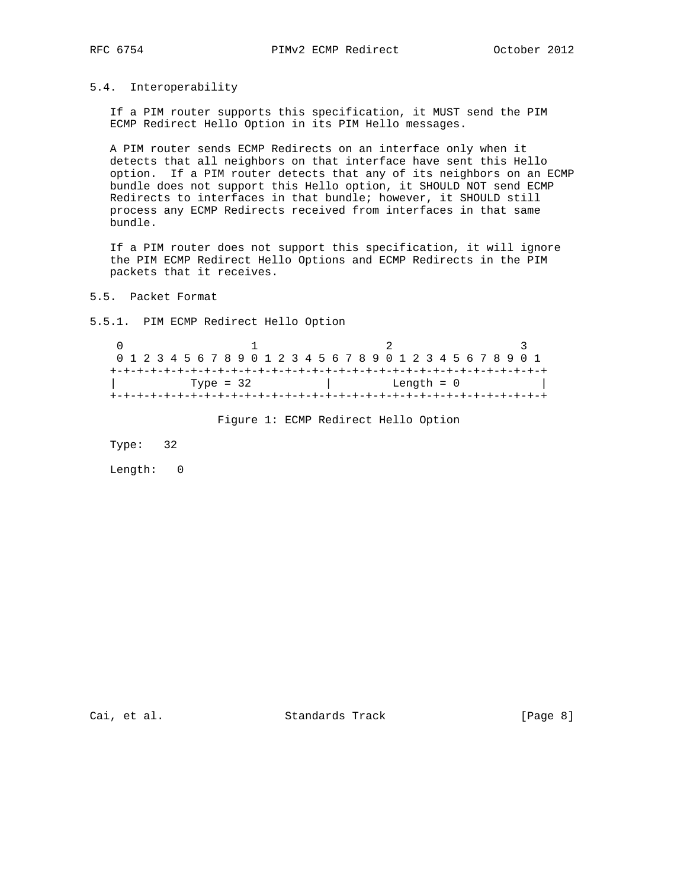## 5.4. Interoperability

 If a PIM router supports this specification, it MUST send the PIM ECMP Redirect Hello Option in its PIM Hello messages.

 A PIM router sends ECMP Redirects on an interface only when it detects that all neighbors on that interface have sent this Hello option. If a PIM router detects that any of its neighbors on an ECMP bundle does not support this Hello option, it SHOULD NOT send ECMP Redirects to interfaces in that bundle; however, it SHOULD still process any ECMP Redirects received from interfaces in that same bundle.

 If a PIM router does not support this specification, it will ignore the PIM ECMP Redirect Hello Options and ECMP Redirects in the PIM packets that it receives.

5.5. Packet Format

5.5.1. PIM ECMP Redirect Hello Option

 $\begin{array}{ccccccc}\n0 & & & 1 & & & 2 & & 3\n\end{array}$  0 1 2 3 4 5 6 7 8 9 0 1 2 3 4 5 6 7 8 9 0 1 2 3 4 5 6 7 8 9 0 1 +-+-+-+-+-+-+-+-+-+-+-+-+-+-+-+-+-+-+-+-+-+-+-+-+-+-+-+-+-+-+-+-+ | Type = 32 | Length = 0 | +-+-+-+-+-+-+-+-+-+-+-+-+-+-+-+-+-+-+-+-+-+-+-+-+-+-+-+-+-+-+-+-+

Figure 1: ECMP Redirect Hello Option

Type: 32

Length: 0

Cai, et al. Standards Track [Page 8]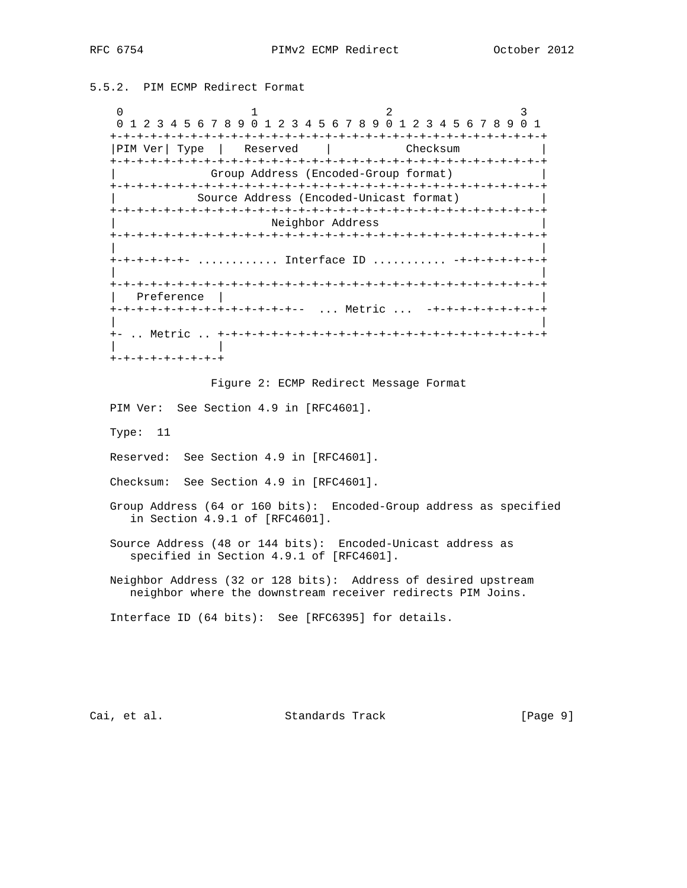5.5.2. PIM ECMP Redirect Format

0  $1$  2 3 0 1 2 3 4 5 6 7 8 9 0 1 2 3 4 5 6 7 8 9 0 1 2 3 4 5 6 7 8 9 0 1 +-+-+-+-+-+-+-+-+-+-+-+-+-+-+-+-+-+-+-+-+-+-+-+-+-+-+-+-+-+-+-+-+ |PIM Ver| Type | Reserved | Checksum +-+-+-+-+-+-+-+-+-+-+-+-+-+-+-+-+-+-+-+-+-+-+-+-+-+-+-+-+-+-+-+-+ | Group Address (Encoded-Group format) | +-+-+-+-+-+-+-+-+-+-+-+-+-+-+-+-+-+-+-+-+-+-+-+-+-+-+-+-+-+-+-+-+ | Source Address (Encoded-Unicast format) | +-+-+-+-+-+-+-+-+-+-+-+-+-+-+-+-+-+-+-+-+-+-+-+-+-+-+-+-+-+-+-+-+ | Neighbor Address | +-+-+-+-+-+-+-+-+-+-+-+-+-+-+-+-+-+-+-+-+-+-+-+-+-+-+-+-+-+-+-+-+ | | +-+-+-+-+-+- ............ Interface ID ........... -+-+-+-+-+-+-+ | | +-+-+-+-+-+-+-+-+-+-+-+-+-+-+-+-+-+-+-+-+-+-+-+-+-+-+-+-+-+-+-+-+ | Preference | | +-+-+-+-+-+-+-+-+-+-+-+-+-+-- ... Metric ... -+-+-+-+-+-+-+-+-+ | | +- .. Metric .. +-+-+-+-+-+-+-+-+-+-+-+-+-+-+-+-+-+-+-+-+-+-+-+-+ | | +-+-+-+-+-+-+-+-+

Figure 2: ECMP Redirect Message Format

PIM Ver: See Section 4.9 in [RFC4601].

Type: 11

Reserved: See Section 4.9 in [RFC4601].

Checksum: See Section 4.9 in [RFC4601].

 Group Address (64 or 160 bits): Encoded-Group address as specified in Section 4.9.1 of [RFC4601].

 Source Address (48 or 144 bits): Encoded-Unicast address as specified in Section 4.9.1 of [RFC4601].

 Neighbor Address (32 or 128 bits): Address of desired upstream neighbor where the downstream receiver redirects PIM Joins.

Interface ID (64 bits): See [RFC6395] for details.

Cai, et al. Standards Track [Page 9]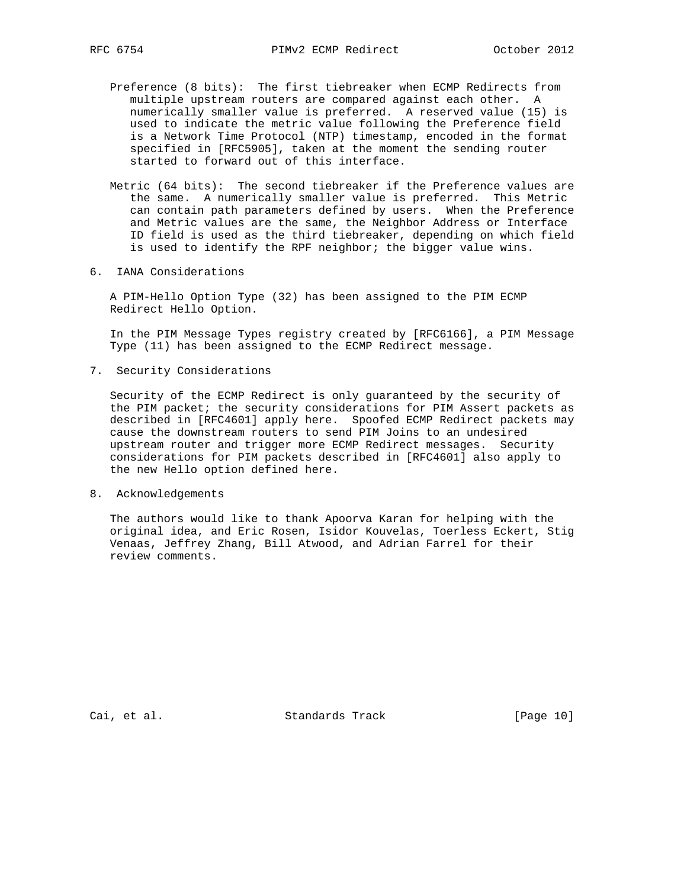- Preference (8 bits): The first tiebreaker when ECMP Redirects from multiple upstream routers are compared against each other. A numerically smaller value is preferred. A reserved value (15) is used to indicate the metric value following the Preference field is a Network Time Protocol (NTP) timestamp, encoded in the format specified in [RFC5905], taken at the moment the sending router started to forward out of this interface.
- Metric (64 bits): The second tiebreaker if the Preference values are the same. A numerically smaller value is preferred. This Metric can contain path parameters defined by users. When the Preference and Metric values are the same, the Neighbor Address or Interface ID field is used as the third tiebreaker, depending on which field is used to identify the RPF neighbor; the bigger value wins.
- 6. IANA Considerations

 A PIM-Hello Option Type (32) has been assigned to the PIM ECMP Redirect Hello Option.

 In the PIM Message Types registry created by [RFC6166], a PIM Message Type (11) has been assigned to the ECMP Redirect message.

7. Security Considerations

 Security of the ECMP Redirect is only guaranteed by the security of the PIM packet; the security considerations for PIM Assert packets as described in [RFC4601] apply here. Spoofed ECMP Redirect packets may cause the downstream routers to send PIM Joins to an undesired upstream router and trigger more ECMP Redirect messages. Security considerations for PIM packets described in [RFC4601] also apply to the new Hello option defined here.

8. Acknowledgements

 The authors would like to thank Apoorva Karan for helping with the original idea, and Eric Rosen, Isidor Kouvelas, Toerless Eckert, Stig Venaas, Jeffrey Zhang, Bill Atwood, and Adrian Farrel for their review comments.

Cai, et al. Standards Track [Page 10]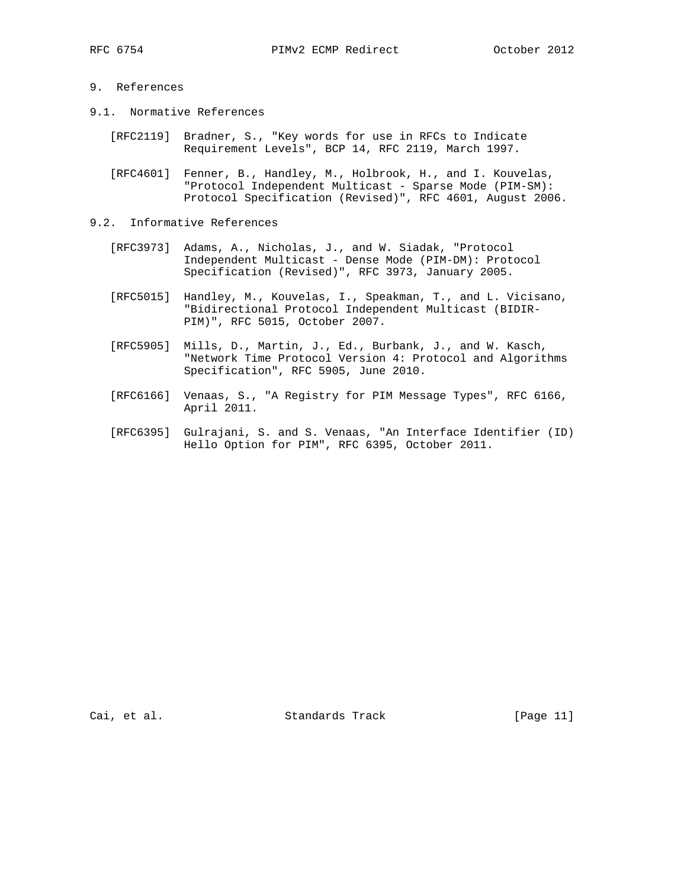# 9. References

- 9.1. Normative References
	- [RFC2119] Bradner, S., "Key words for use in RFCs to Indicate Requirement Levels", BCP 14, RFC 2119, March 1997.
	- [RFC4601] Fenner, B., Handley, M., Holbrook, H., and I. Kouvelas, "Protocol Independent Multicast - Sparse Mode (PIM-SM): Protocol Specification (Revised)", RFC 4601, August 2006.
- 9.2. Informative References
	- [RFC3973] Adams, A., Nicholas, J., and W. Siadak, "Protocol Independent Multicast - Dense Mode (PIM-DM): Protocol Specification (Revised)", RFC 3973, January 2005.
	- [RFC5015] Handley, M., Kouvelas, I., Speakman, T., and L. Vicisano, "Bidirectional Protocol Independent Multicast (BIDIR- PIM)", RFC 5015, October 2007.
	- [RFC5905] Mills, D., Martin, J., Ed., Burbank, J., and W. Kasch, "Network Time Protocol Version 4: Protocol and Algorithms Specification", RFC 5905, June 2010.
	- [RFC6166] Venaas, S., "A Registry for PIM Message Types", RFC 6166, April 2011.
	- [RFC6395] Gulrajani, S. and S. Venaas, "An Interface Identifier (ID) Hello Option for PIM", RFC 6395, October 2011.

Cai, et al. Standards Track [Page 11]